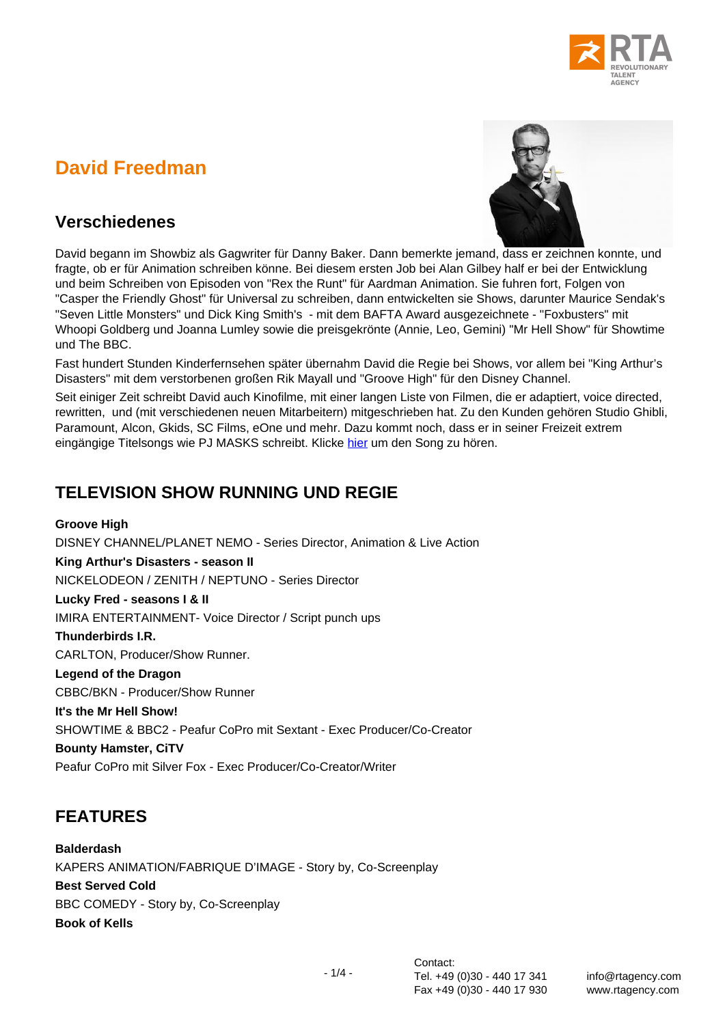# **David Freedman**



#### **Verschiedenes**

David begann im Showbiz als Gagwriter für Danny Baker. Dann bemerkte jemand, dass er zeichnen konnte, und fragte, ob er für Animation schreiben könne. Bei diesem ersten Job bei Alan Gilbey half er bei der Entwicklung und beim Schreiben von Episoden von "Rex the Runt" für Aardman Animation. Sie fuhren fort, Folgen von "Casper the Friendly Ghost" für Universal zu schreiben, dann entwickelten sie Shows, darunter Maurice Sendak's "Seven Little Monsters" und Dick King Smith's - mit dem BAFTA Award ausgezeichnete - "Foxbusters" mit Whoopi Goldberg und Joanna Lumley sowie die preisgekrönte (Annie, Leo, Gemini) "Mr Hell Show" für Showtime und The BBC.

Fast hundert Stunden Kinderfernsehen später übernahm David die Regie bei Shows, vor allem bei "King Arthur's Disasters" mit dem verstorbenen großen Rik Mayall und "Groove High" für den Disney Channel.

Seit einiger Zeit schreibt David auch Kinofilme, mit einer langen Liste von Filmen, die er adaptiert, voice directed, rewritten, und (mit verschiedenen neuen Mitarbeitern) mitgeschrieben hat. Zu den Kunden gehören Studio Ghibli, Paramount, Alcon, Gkids, SC Films, eOne und mehr. Dazu kommt noch, dass er in seiner Freizeit extrem eingängige Titelsongs wie PJ MASKS schreibt. Klicke [hier](https://www.davidfreedman.co.uk/dfsongs) um den Song zu hören.

## **TELEVISION SHOW RUNNING UND REGIE**

**Groove High** DISNEY CHANNEL/PLANET NEMO - Series Director, Animation & Live Action **King Arthur's Disasters - season II** NICKELODEON / ZENITH / NEPTUNO - Series Director **Lucky Fred - seasons I & II** IMIRA ENTERTAINMENT- Voice Director / Script punch ups **Thunderbirds I.R.** CARLTON, Producer/Show Runner. **Legend of the Dragon** CBBC/BKN - Producer/Show Runner **It's the Mr Hell Show!**  SHOWTIME & BBC2 - Peafur CoPro mit Sextant - Exec Producer/Co-Creator **Bounty Hamster, CiTV**  Peafur CoPro mit Silver Fox - Exec Producer/Co-Creator/Writer

### **FEATURES**

**Balderdash** KAPERS ANIMATION/FABRIQUE D'IMAGE - Story by, Co-Screenplay **Best Served Cold** BBC COMEDY - Story by, Co-Screenplay **Book of Kells**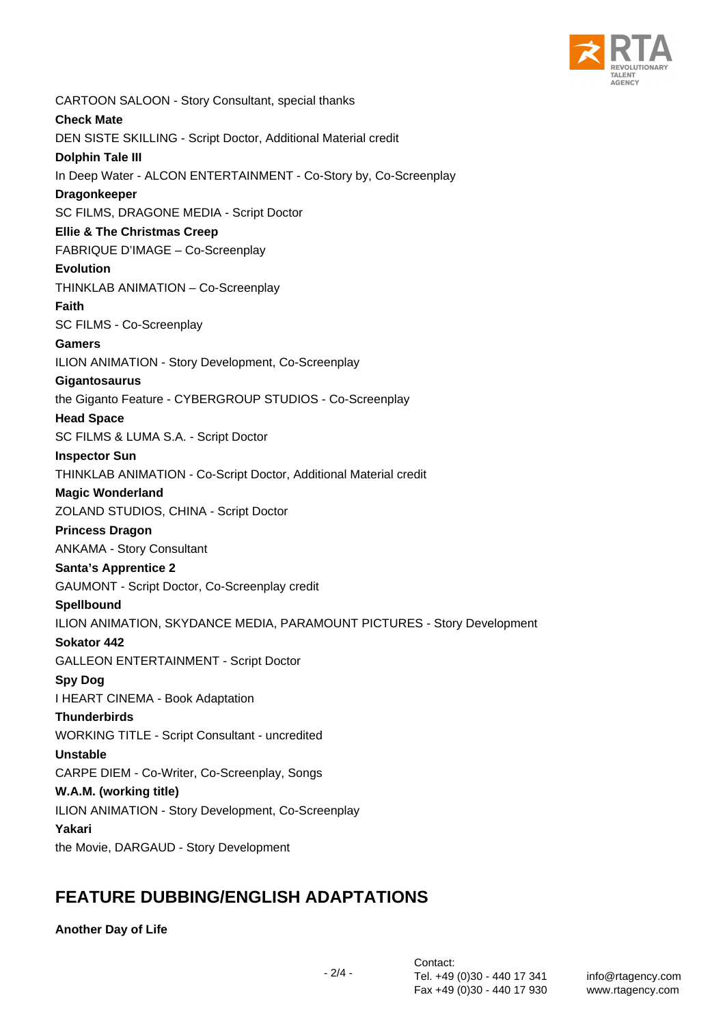

CARTOON SALOON - Story Consultant, special thanks **Check Mate** DEN SISTE SKILLING - Script Doctor, Additional Material credit **Dolphin Tale III** In Deep Water - ALCON ENTERTAINMENT - Co-Story by, Co-Screenplay **Dragonkeeper** SC FILMS, DRAGONE MEDIA - Script Doctor **Ellie & The Christmas Creep** FABRIQUE D'IMAGE – Co-Screenplay **Evolution** THINKLAB ANIMATION – Co-Screenplay **Faith** SC FILMS - Co-Screenplay **Gamers** ILION ANIMATION - Story Development, Co-Screenplay **Gigantosaurus** the Giganto Feature - CYBERGROUP STUDIOS - Co-Screenplay **Head Space** SC FILMS & LUMA S.A. - Script Doctor **Inspector Sun** THINKLAB ANIMATION - Co-Script Doctor, Additional Material credit **Magic Wonderland** ZOLAND STUDIOS, CHINA - Script Doctor **Princess Dragon** ANKAMA - Story Consultant **Santa's Apprentice 2** GAUMONT - Script Doctor, Co-Screenplay credit **Spellbound** ILION ANIMATION, SKYDANCE MEDIA, PARAMOUNT PICTURES - Story Development **Sokator 442** GALLEON ENTERTAINMENT - Script Doctor **Spy Dog** I HEART CINEMA - Book Adaptation **Thunderbirds** WORKING TITLE - Script Consultant - uncredited **Unstable** CARPE DIEM - Co-Writer, Co-Screenplay, Songs **W.A.M. (working title)** ILION ANIMATION - Story Development, Co-Screenplay **Yakari** the Movie, DARGAUD - Story Development

#### **FEATURE DUBBING/ENGLISH ADAPTATIONS**

**Another Day of Life**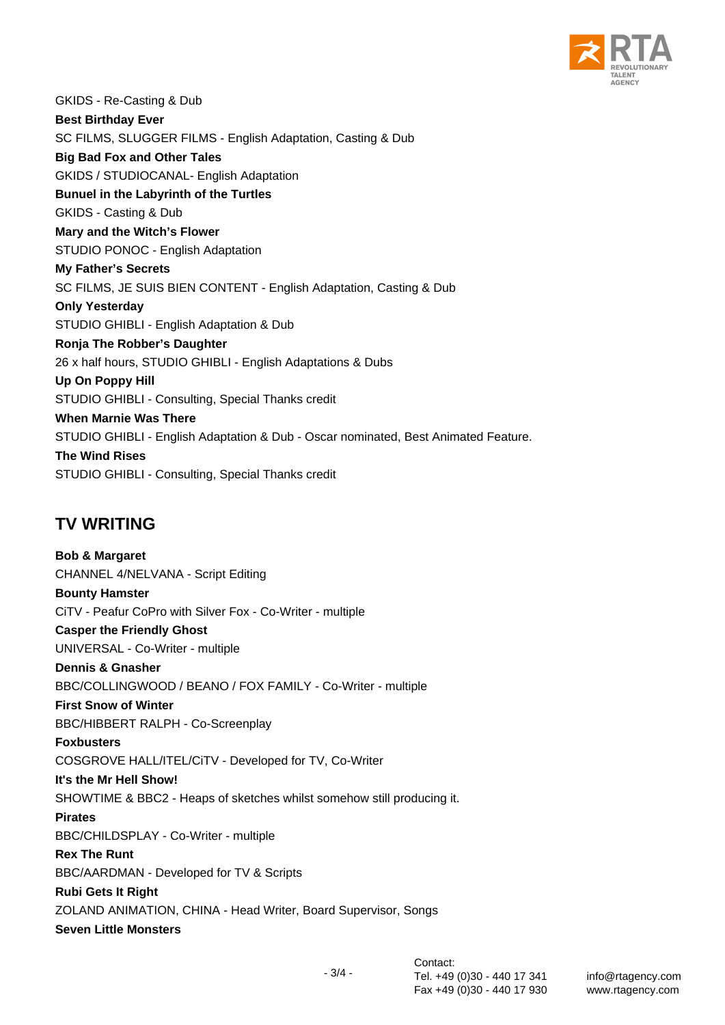

GKIDS - Re-Casting & Dub **Best Birthday Ever** SC FILMS, SLUGGER FILMS - English Adaptation, Casting & Dub **Big Bad Fox and Other Tales** GKIDS / STUDIOCANAL- English Adaptation **Bunuel in the Labyrinth of the Turtles** GKIDS - Casting & Dub **Mary and the Witch's Flower** STUDIO PONOC - English Adaptation **My Father's Secrets** SC FILMS, JE SUIS BIEN CONTENT - English Adaptation, Casting & Dub **Only Yesterday** STUDIO GHIBLI - English Adaptation & Dub **Ronja The Robber's Daughter** 26 x half hours, STUDIO GHIBLI - English Adaptations & Dubs **Up On Poppy Hill** STUDIO GHIBLI - Consulting, Special Thanks credit **When Marnie Was There** STUDIO GHIBLI - English Adaptation & Dub - Oscar nominated, Best Animated Feature. **The Wind Rises** STUDIO GHIBLI - Consulting, Special Thanks credit

### **TV WRITING**

**Bob & Margaret** CHANNEL 4/NELVANA - Script Editing **Bounty Hamster** CiTV - Peafur CoPro with Silver Fox - Co-Writer - multiple **Casper the Friendly Ghost** UNIVERSAL - Co-Writer - multiple **Dennis & Gnasher** BBC/COLLINGWOOD / BEANO / FOX FAMILY - Co-Writer - multiple **First Snow of Winter** BBC/HIBBERT RALPH - Co-Screenplay **Foxbusters** COSGROVE HALL/ITEL/CiTV - Developed for TV, Co-Writer **It's the Mr Hell Show!** SHOWTIME & BBC2 - Heaps of sketches whilst somehow still producing it. **Pirates** BBC/CHILDSPLAY - Co-Writer - multiple **Rex The Runt** BBC/AARDMAN - Developed for TV & Scripts **Rubi Gets It Right** ZOLAND ANIMATION, CHINA - Head Writer, Board Supervisor, Songs **Seven Little Monsters**